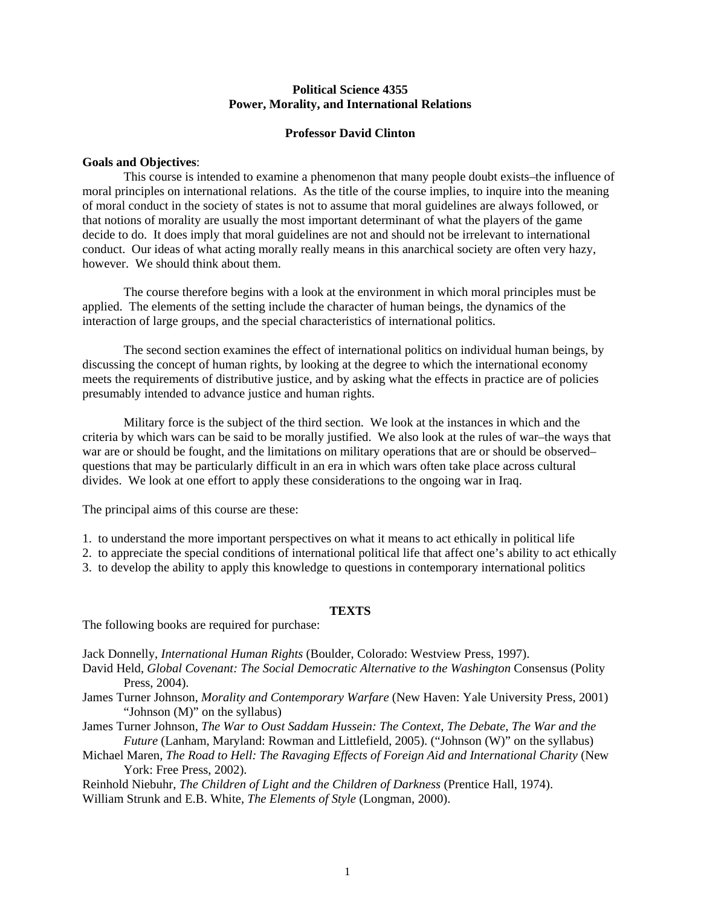#### **Political Science 4355 Power, Morality, and International Relations**

## **Professor David Clinton**

#### **Goals and Objectives**:

 This course is intended to examine a phenomenon that many people doubt exists–the influence of moral principles on international relations. As the title of the course implies, to inquire into the meaning of moral conduct in the society of states is not to assume that moral guidelines are always followed, or that notions of morality are usually the most important determinant of what the players of the game decide to do. It does imply that moral guidelines are not and should not be irrelevant to international conduct. Our ideas of what acting morally really means in this anarchical society are often very hazy, however. We should think about them.

 The course therefore begins with a look at the environment in which moral principles must be applied. The elements of the setting include the character of human beings, the dynamics of the interaction of large groups, and the special characteristics of international politics.

 The second section examines the effect of international politics on individual human beings, by discussing the concept of human rights, by looking at the degree to which the international economy meets the requirements of distributive justice, and by asking what the effects in practice are of policies presumably intended to advance justice and human rights.

 Military force is the subject of the third section. We look at the instances in which and the criteria by which wars can be said to be morally justified. We also look at the rules of war–the ways that war are or should be fought, and the limitations on military operations that are or should be observed– questions that may be particularly difficult in an era in which wars often take place across cultural divides. We look at one effort to apply these considerations to the ongoing war in Iraq.

The principal aims of this course are these:

1. to understand the more important perspectives on what it means to act ethically in political life

2. to appreciate the special conditions of international political life that affect one's ability to act ethically

3. to develop the ability to apply this knowledge to questions in contemporary international politics

#### **TEXTS**

The following books are required for purchase:

Jack Donnelly, *International Human Rights* (Boulder, Colorado: Westview Press, 1997).

- David Held, *Global Covenant: The Social Democratic Alternative to the Washington Consensus (Polity* Press, 2004).
- James Turner Johnson, *Morality and Contemporary Warfare* (New Haven: Yale University Press, 2001) "Johnson (M)" on the syllabus)

James Turner Johnson, *The War to Oust Saddam Hussein: The Context, The Debate, The War and the Future* (Lanham, Maryland: Rowman and Littlefield, 2005). ("Johnson (W)" on the syllabus)

Michael Maren, *The Road to Hell: The Ravaging Effects of Foreign Aid and International Charity* (New York: Free Press, 2002).

Reinhold Niebuhr, *The Children of Light and the Children of Darkness* (Prentice Hall, 1974).

William Strunk and E.B. White, *The Elements of Style* (Longman, 2000).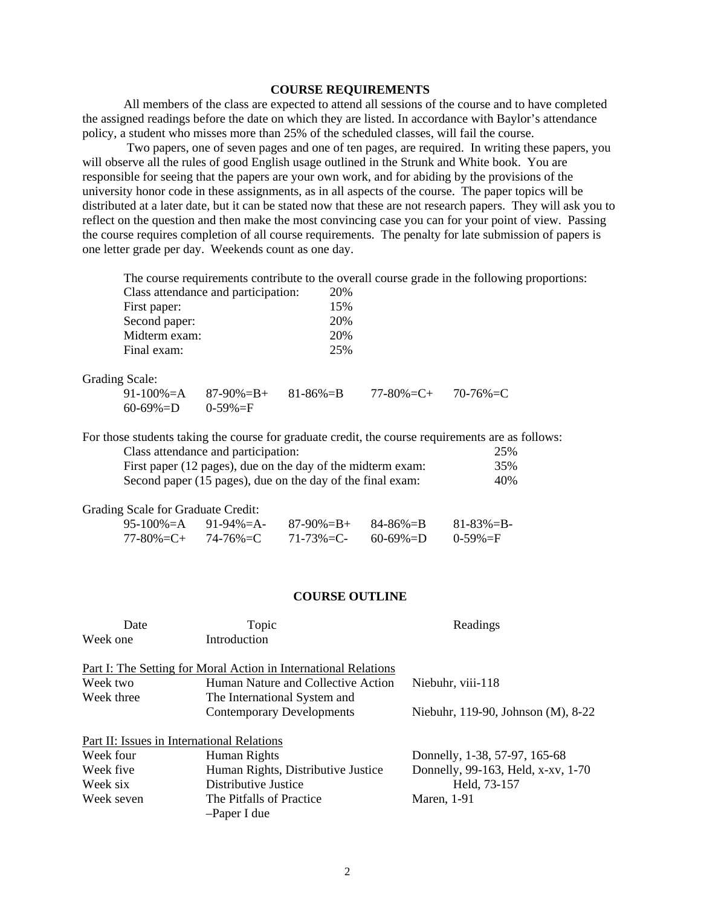### **COURSE REQUIREMENTS**

 All members of the class are expected to attend all sessions of the course and to have completed the assigned readings before the date on which they are listed. In accordance with Baylor's attendance policy, a student who misses more than 25% of the scheduled classes, will fail the course.

 Two papers, one of seven pages and one of ten pages, are required. In writing these papers, you will observe all the rules of good English usage outlined in the Strunk and White book. You are responsible for seeing that the papers are your own work, and for abiding by the provisions of the university honor code in these assignments, as in all aspects of the course. The paper topics will be distributed at a later date, but it can be stated now that these are not research papers. They will ask you to reflect on the question and then make the most convincing case you can for your point of view. Passing the course requires completion of all course requirements. The penalty for late submission of papers is one letter grade per day. Weekends count as one day.

The course requirements contribute to the overall course grade in the following proportions:

| Class attendance and participation: | 20% |
|-------------------------------------|-----|
| First paper:                        | 15% |
| Second paper:                       | 20% |
| Midterm exam:                       | 20% |
| Final exam:                         | 25% |

Grading Scale:

|                            | 91-100%=A 87-90%=B+ 81-86%=B | $77-80\% = C + 70-76\% = C$ |  |
|----------------------------|------------------------------|-----------------------------|--|
| $60-69\% = D$ $0-59\% = F$ |                              |                             |  |

For those students taking the course for graduate credit, the course requirements are as follows: Class attendance and participation: 25%

| First paper (12 pages), due on the day of the midterm exam: | 35% |
|-------------------------------------------------------------|-----|
| Second paper (15 pages), due on the day of the final exam:  | 40% |

| <b>Grading Scale for Graduate Credit:</b> |                                 |                                                    |           |
|-------------------------------------------|---------------------------------|----------------------------------------------------|-----------|
|                                           |                                 | 95-100% $=A$ 91-94% $=A$ -87-90% $=B+84-86$ % $=B$ | 81-83%=B- |
|                                           | $77 - 80\% = C + 74 - 76\% = C$ | 71-73%=C- 60-69%=D 0-59%=F                         |           |

#### **COURSE OUTLINE**

| Date       | Topic                                                           | Readings                           |
|------------|-----------------------------------------------------------------|------------------------------------|
| Week one   | Introduction                                                    |                                    |
|            | Part I: The Setting for Moral Action in International Relations |                                    |
| Week two   | Human Nature and Collective Action                              | Niebuhr, viii-118                  |
| Week three | The International System and                                    |                                    |
|            | <b>Contemporary Developments</b>                                | Niebuhr, 119-90, Johnson (M), 8-22 |
|            | Part II: Issues in International Relations                      |                                    |
| Week four  | Human Rights                                                    | Donnelly, 1-38, 57-97, 165-68      |
| Week five  | Human Rights, Distributive Justice                              | Donnelly, 99-163, Held, x-xv, 1-70 |
| Week six   | Distributive Justice                                            | Held, 73-157                       |
| Week seven | The Pitfalls of Practice                                        | <b>Maren</b> , 1-91                |
|            | -Paper I due                                                    |                                    |